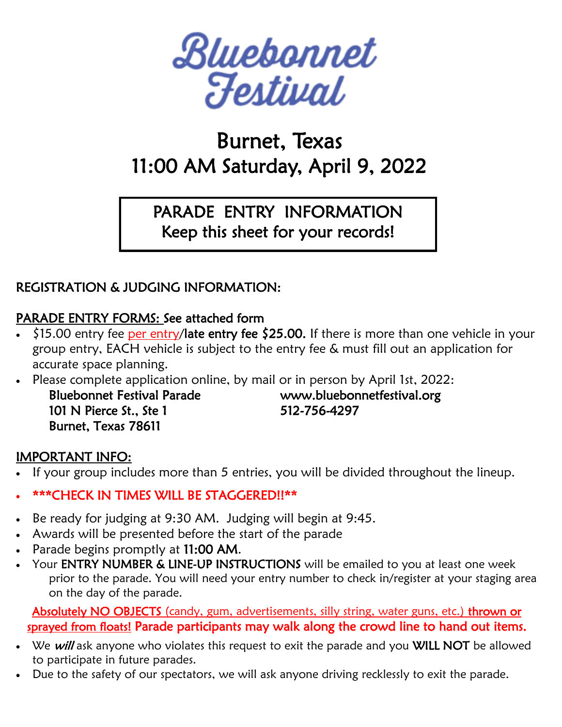

# Burnet, Texas 11:00 AM Saturday, April 9, 2022

PARADE ENTRY INFORMATION Keep this sheet for your records!

## REGISTRATION & JUDGING INFORMATION:

#### PARADE ENTRY FORMS: See attached form

- $\frac{1}{2}$ 15.00 entry fee per entry/late entry fee \$25.00. If there is more than one vehicle in your group entry, EACH vehicle is subject to the entry fee & must fill out an application for accurate space planning.
- Please complete application online, by mail or in person by April 1st, 2022:
- Bluebonnet Festival Parade www.bluebonnetfestival.org 101 N Pierce St., Ste 1 512-756-4297 Burnet, Texas 78611

#### IMPORTANT INFO:

- If your group includes more than 5 entries, you will be divided throughout the lineup.
- \*\*\*CHECK IN TIMES WILL BE STAGGERED!!\*\*
- Be ready for judging at 9:30 AM. Judging will begin at 9:45.
- Awards will be presented before the start of the parade
- Parade begins promptly at 11:00 AM.
- Your ENTRY NUMBER & LINE-UP INSTRUCTIONS will be emailed to you at least one week prior to the parade. You will need your entry number to check in/register at your staging area on the day of the parade.

Absolutely NO OBJECTS (candy, gum, advertisements, silly string, water guns, etc.) thrown or sprayed from floats! Parade participants may walk along the crowd line to hand out items.

- We will ask anyone who violates this request to exit the parade and you WILL NOT be allowed to participate in future parades.
- Due to the safety of our spectators, we will ask anyone driving recklessly to exit the parade.